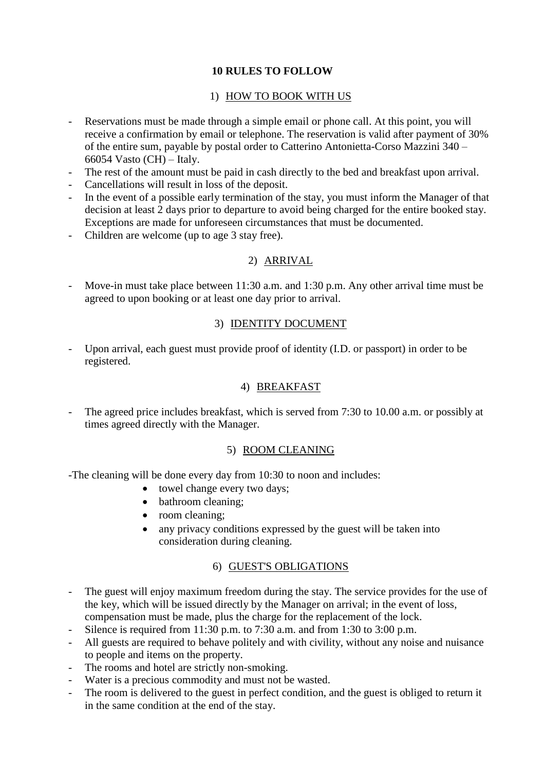# **10 RULES TO FOLLOW**

# 1) HOW TO BOOK WITH US

- Reservations must be made through a simple email or phone call. At this point, you will receive a confirmation by email or telephone. The reservation is valid after payment of 30% of the entire sum, payable by postal order to Catterino Antonietta-Corso Mazzini 340 – 66054 Vasto  $(CH)$  – Italy.
- The rest of the amount must be paid in cash directly to the bed and breakfast upon arrival.
- Cancellations will result in loss of the deposit.
- In the event of a possible early termination of the stay, you must inform the Manager of that decision at least 2 days prior to departure to avoid being charged for the entire booked stay. Exceptions are made for unforeseen circumstances that must be documented.
- Children are welcome (up to age 3 stay free).

# 2) ARRIVAL

- Move-in must take place between 11:30 a.m. and 1:30 p.m. Any other arrival time must be agreed to upon booking or at least one day prior to arrival.

# 3) IDENTITY DOCUMENT

- Upon arrival, each guest must provide proof of identity (I.D. or passport) in order to be registered.

### 4) BREAKFAST

The agreed price includes breakfast, which is served from 7:30 to 10.00 a.m. or possibly at times agreed directly with the Manager.

### 5) ROOM CLEANING

-The cleaning will be done every day from 10:30 to noon and includes:

- towel change every two days;
- bathroom cleaning;
- room cleaning;
- any privacy conditions expressed by the guest will be taken into consideration during cleaning.

### 6) GUEST'S OBLIGATIONS

- The guest will enjoy maximum freedom during the stay. The service provides for the use of the key, which will be issued directly by the Manager on arrival; in the event of loss, compensation must be made, plus the charge for the replacement of the lock.
- Silence is required from 11:30 p.m. to 7:30 a.m. and from 1:30 to 3:00 p.m.
- All guests are required to behave politely and with civility, without any noise and nuisance to people and items on the property.
- The rooms and hotel are strictly non-smoking.
- Water is a precious commodity and must not be wasted.
- The room is delivered to the guest in perfect condition, and the guest is obliged to return it in the same condition at the end of the stay.